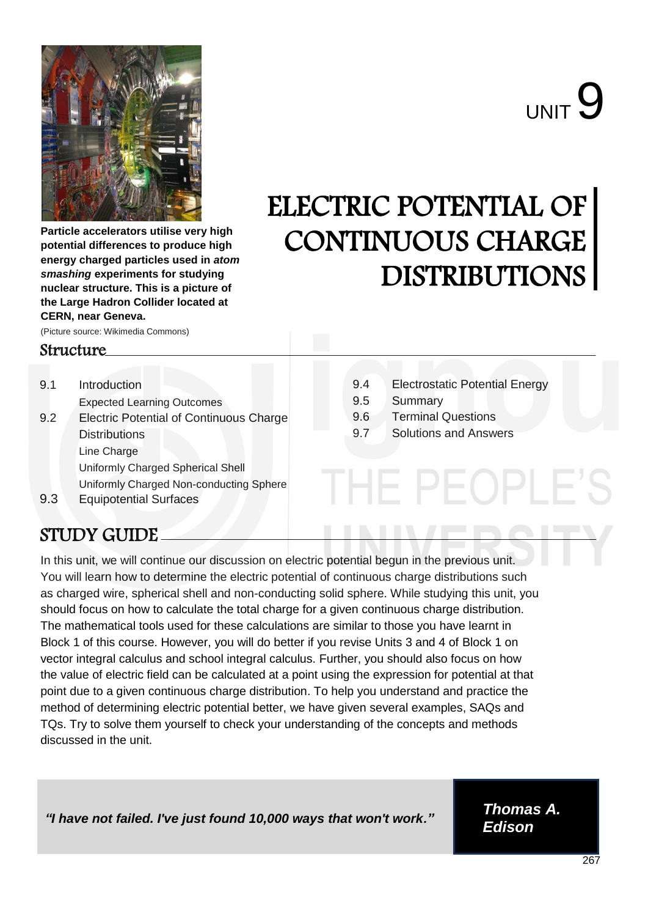

**Particle accelerators utilise very high potential differences to produce high energy charged particles used in** *atom smashing* **experiments for studying nuclear structure. This is a picture of the Large Hadron Collider located at CERN, near Geneva.**

(Picture source: Wikimedia Commons)

### Structure

- 9.1 Introduction Expected Learning Outcomes 9.2 Electric Potential of Continuous Charge **Distributions** Line Charge Uniformly Charged Spherical Shell Uniformly Charged Non-conducting Sphere 9.3 Equipotential Surfaces
- 9.4 Electrostatic Potential Energy

HE PEOPLE

- 9.5 Summary
- 9.6 Terminal Questions

ELECTRIC POTENTIAL OF

CONTINUOUS CHARGE

DISTRIBUTIONS

9.7 Solutions and Answers

# STUDY GUIDE

In this unit, we will continue our discussion on electric potential begun in the previous unit. You will learn how to determine the electric potential of continuous charge distributions such as charged wire, spherical shell and non-conducting solid sphere. While studying this unit, you should focus on how to calculate the total charge for a given continuous charge distribution. The mathematical tools used for these calculations are similar to those you have learnt in Block 1 of this course. However, you will do better if you revise Units 3 and 4 of Block 1 on vector integral calculus and school integral calculus. Further, you should also focus on how the value of electric field can be calculated at a point using the expression for potential at that point due to a given continuous charge distribution. To help you understand and practice the method of determining electric potential better, we have given several examples, SAQs and TQs. Try to solve them yourself to check your understanding of the concepts and methods discussed in the unit.

*"I have not failed. I've just found 10,000 ways that won't work." Thomas A.*

*Edison*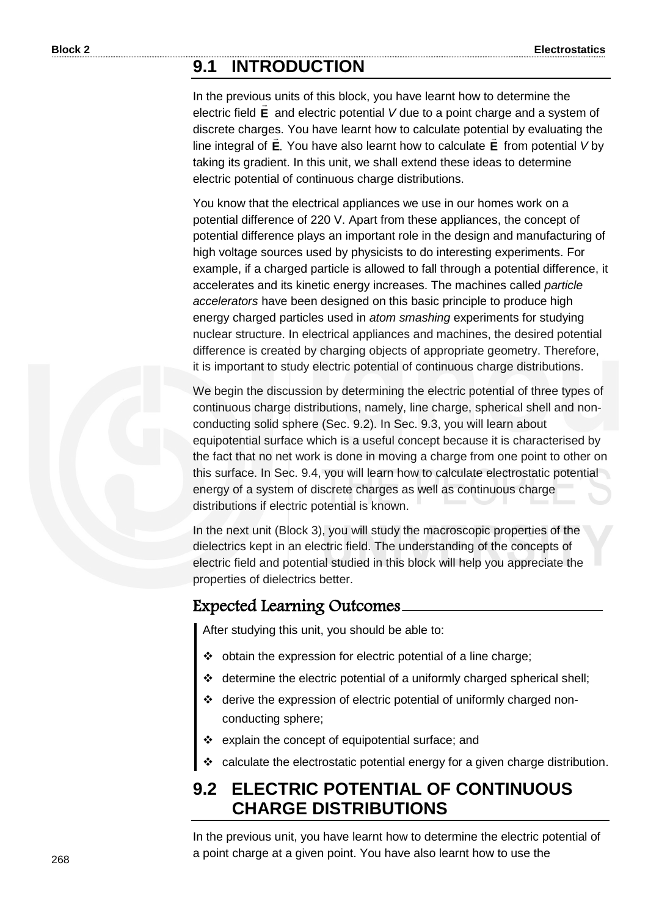# **9.1 INTRODUCTION**

In the previous units of this block, you have learnt how to determine the electric field E and electric potential V due to a point charge and a system of discrete charges. You have learnt how to calculate potential by evaluating the line integral of **E**. You have also learnt how to calculate **E** from potential *V* by taking its gradient. In this unit, we shall extend these ideas to determine electric potential of continuous charge distributions.

You know that the electrical appliances we use in our homes work on a potential difference of 220 V. Apart from these appliances, the concept of potential difference plays an important role in the design and manufacturing of high voltage sources used by physicists to do interesting experiments. For example, if a charged particle is allowed to fall through a potential difference, it accelerates and its kinetic energy increases. The machines called *particle accelerators* have been designed on this basic principle to produce high energy charged particles used in *atom smashing* experiments for studying nuclear structure. In electrical appliances and machines, the desired potential difference is created by charging objects of appropriate geometry. Therefore, it is important to study electric potential of continuous charge distributions.

We begin the discussion by determining the electric potential of three types of continuous charge distributions, namely, line charge, spherical shell and nonconducting solid sphere (Sec. 9.2). In Sec. 9.3, you will learn about equipotential surface which is a useful concept because it is characterised by the fact that no net work is done in moving a charge from one point to other on this surface. In Sec. 9.4, you will learn how to calculate electrostatic potential energy of a system of discrete charges as well as continuous charge distributions if electric potential is known.

In the next unit (Block 3), you will study the macroscopic properties of the dielectrics kept in an electric field. The understanding of the concepts of electric field and potential studied in this block will help you appreciate the properties of dielectrics better.

### Expected Learning Outcomes

After studying this unit, you should be able to:

- obtain the expression for electric potential of a line charge;
- determine the electric potential of a uniformly charged spherical shell;
- derive the expression of electric potential of uniformly charged nonconducting sphere;
- explain the concept of equipotential surface; and
- calculate the electrostatic potential energy for a given charge distribution.

# **9.2 ELECTRIC POTENTIAL OF CONTINUOUS CHARGE DISTRIBUTIONS**

In the previous unit, you have learnt how to determine the electric potential of a point charge at a given point. You have also learnt how to use the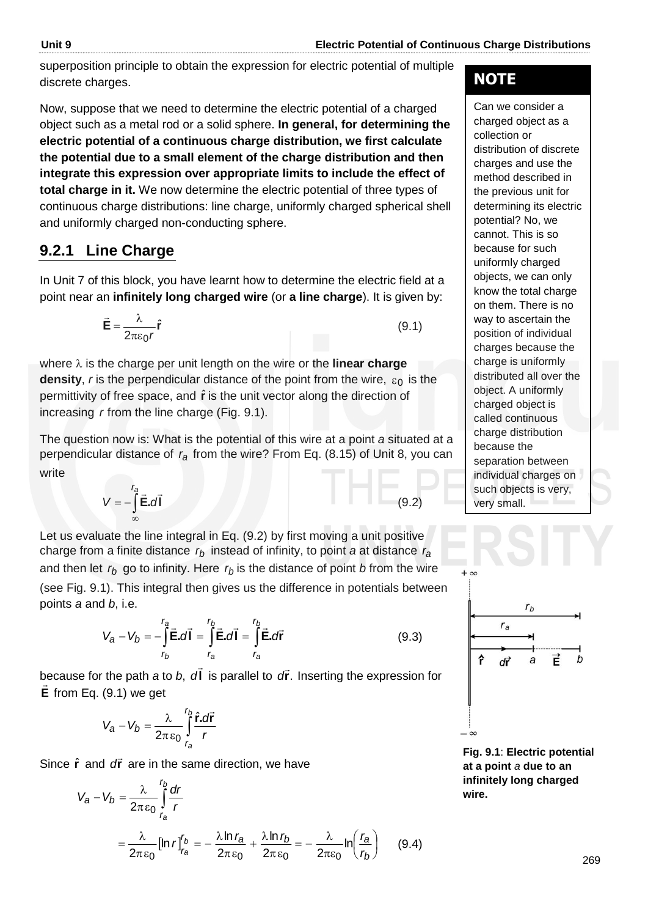superposition principle to obtain the expression for electric potential of multiple discrete charges.

Now, suppose that we need to determine the electric potential of a charged object such as a metal rod or a solid sphere. **In general, for determining the electric potential of a continuous charge distribution, we first calculate the potential due to a small element of the charge distribution and then integrate this expression over appropriate limits to include the effect of total charge in it.** We now determine the electric potential of three types of continuous charge distributions: line charge, uniformly charged spherical shell and uniformly charged non-conducting sphere.

# **9.2.1 Line Charge**

In Unit 7 of this block, you have learnt how to determine the electric field at a point near an **infinitely long charged wire** (or **a line charge**). It is given by:

$$
\vec{\mathbf{E}} = \frac{\lambda}{2\pi\epsilon_0 r} \hat{\mathbf{r}} \tag{9.1}
$$

where  $\lambda$  is the charge per unit length on the wire or the **linear charge density**, r is the perpendicular distance of the point from the wire,  $\varepsilon_0$  is the permittivity of free space, and  $\hat{r}$  is the unit vector along the direction of increasing *r* from the line charge (Fig. 9.1).

The question now is: What is the potential of this wire at a point *a* situated at a perpendicular distance of r<sub>a</sub> from the wire? From Eq. (8.15) of Unit 8, you can write

$$
V = -\int_{\infty}^{r_a} \vec{E} \cdot d\vec{l} \qquad (9.2)
$$

Let us evaluate the line integral in Eq. (9.2) by first moving a unit positive charge from a finite distance *rb* instead of infinity, to point *a* at distance *ra* and then let  $r_b$  go to infinity. Here  $r_b$  is the distance of point *b* from the wire (see Fig. 9.1). This integral then gives us the difference in potentials between points *a* and *b*, i.e.

$$
V_a - V_b = -\int_{r_b}^{r_a} \vec{E} \cdot d\vec{l} = \int_{r_a}^{r_b} \vec{E} \cdot d\vec{l} = \int_{r_a}^{r_b} \vec{E} \cdot d\vec{r}
$$
 (9.3)

because for the path *a* to *b*, dl  $\rightarrow$ because for the path *a* to *b*,  $d\vec{l}$  is parallel to  $d\vec{r}$ . Inserting the expression for **E** from Eq. (9.1) we get

$$
V_a - V_b = \frac{\lambda}{2\pi\epsilon_0} \int_{r_a}^{r_b} \frac{\hat{\mathbf{r}}.\mathbf{d}\vec{\mathbf{r}}}{r}
$$

Since  $\hat{\mathbf{r}}$  and *d***r** are in the same direction, we have

$$
V_a - V_b = \frac{\lambda}{2\pi\epsilon_0} \int_{r_a}^{r_b} \frac{dr}{r}
$$
  
=  $\frac{\lambda}{2\pi\epsilon_0} [\ln r]_{r_a}^{r_b} = -\frac{\lambda \ln r_a}{2\pi\epsilon_0} + \frac{\lambda \ln r_b}{2\pi\epsilon_0} = -\frac{\lambda}{2\pi\epsilon_0} \ln \left(\frac{r_a}{r_b}\right)$  (9.4)

# **NOTE**

Can we consider a charged object as a collection or distribution of discrete charges and use the method described in the previous unit for determining its electric potential? No, we cannot. This is so because for such uniformly charged objects, we can only know the total charge on them. There is no way to ascertain the position of individual charges because the charge is uniformly distributed all over the object. A uniformly charged object is called continuous charge distribution because the separation between individual charges on such objects is very, very small.



 $+\infty$ 

**Fig. 9.1**: **Electric potential at a point** *a* **due to an infinitely long charged wire.**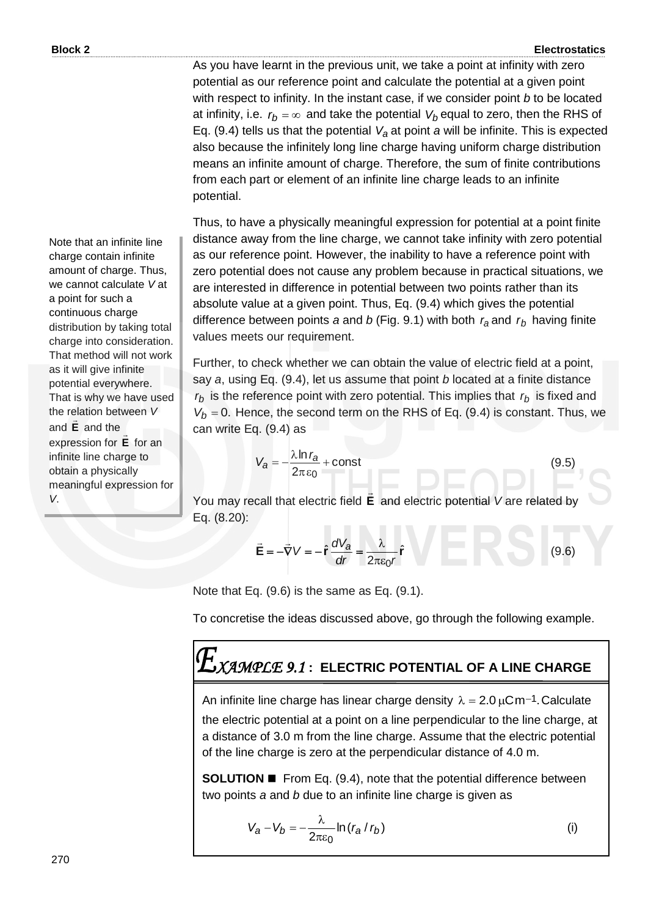As you have learnt in the previous unit, we take a point at infinity with zero potential as our reference point and calculate the potential at a given point with respect to infinity. In the instant case, if we consider point *b* to be located at infinity, i.e.  $r_b$  =  $\infty$  and take the potential  $\emph{V}_b$  equal to zero, then the RHS of Eq. (9.4) tells us that the potential *Va* at point *a* will be infinite. This is expected also because the infinitely long line charge having uniform charge distribution means an infinite amount of charge. Therefore, the sum of finite contributions from each part or element of an infinite line charge leads to an infinite potential.

Thus, to have a physically meaningful expression for potential at a point finite distance away from the line charge, we cannot take infinity with zero potential as our reference point. However, the inability to have a reference point with zero potential does not cause any problem because in practical situations, we are interested in difference in potential between two points rather than its absolute value at a given point. Thus, Eq. (9.4) which gives the potential difference between points *a* and *b* (Fig. 9.1) with both *ra* and *rb* having finite values meets our requirement.

Further, to check whether we can obtain the value of electric field at a point, say *a*, using Eq. (9.4), let us assume that point *b* located at a finite distance *rb* is the reference point with zero potential. This implies that *rb* is fixed and  $V_b$  = 0. Hence, the second term on the RHS of Eq. (9.4) is constant. Thus, we can write Eq. (9.4) as

$$
V_a = -\frac{\lambda \ln r_a}{2\pi \epsilon_0} + \text{const}
$$
 (9.5)

You may recall that electric field **E** and electric potential *V* are related by Eq. (8.20):

$$
\vec{\mathbf{E}} = -\vec{\nabla}V = -\hat{\mathbf{r}}\frac{dV_a}{dr} = \frac{\lambda}{2\pi\varepsilon_0 r}\hat{\mathbf{r}}
$$
 (9.6)

Note that Eq. (9.6) is the same as Eq. (9.1).

To concretise the ideas discussed above, go through the following example.

# *XAMPLE 9.1* **: ELECTRIC POTENTIAL OF A LINE CHARGE**

An infinite line charge has linear charge density  $\lambda = 2.0 \,\mu\text{Cm}^{-1}$ . Calculate

the electric potential at a point on a line perpendicular to the line charge, at a distance of 3.0 m from the line charge. Assume that the electric potential of the line charge is zero at the perpendicular distance of 4.0 m.

**SOLUTION**  From Eq. (9.4), note that the potential difference between two points *a* and *b* due to an infinite line charge is given as

$$
V_a - V_b = -\frac{\lambda}{2\pi\epsilon_0} \ln (r_a / r_b)
$$
 (i)

Note that an infinite line charge contain infinite amount of charge. Thus, we cannot calculate *V* at a point for such a continuous charge distribution by taking total charge into consideration. That method will not work as it will give infinite potential everywhere. That is why we have used the relation between *V*  and **E**  $\tilde{=}$ and the expression for **E**  $\overline{\phantom{a}}$ for an infinite line charge to obtain a physically meaningful expression for *V*.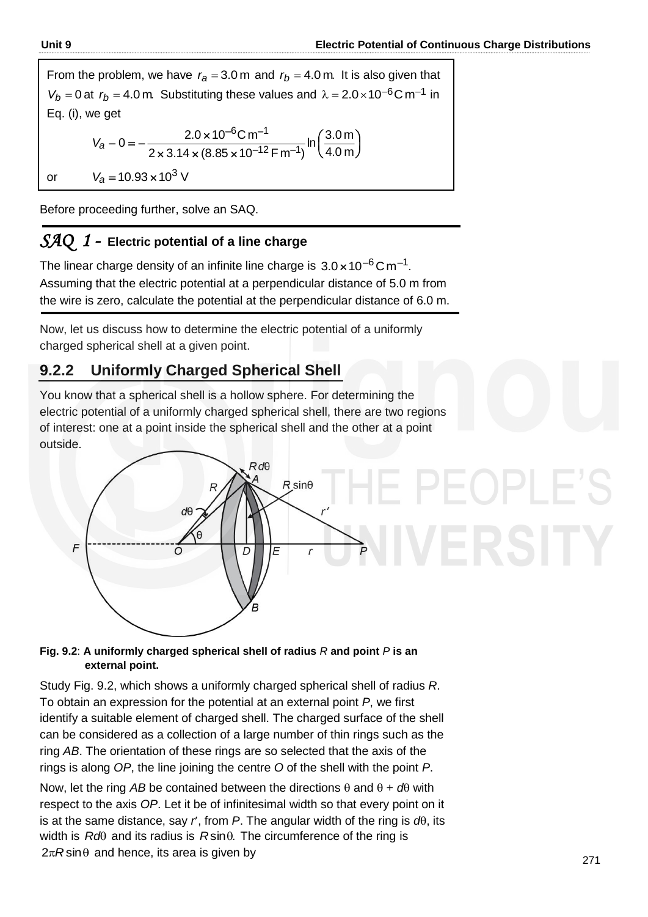From the problem, we have  $r_a = 3.0$  m and  $r_b = 4.0$  m. It is also given that  $V_b = 0$  at  $r_b = 4.0$  m. Substituting these values and  $\lambda = 2.0 \times 10^{-6}$ C m<sup>-1</sup> in Eq. (i), we get  $\int$  $\left(\frac{3.0 \text{ m}}{4.0 \text{ m}}\right)$ ſ  $\times$  3.14  $\times$  (8.85  $\times$  $-0 = -\frac{2.0 \times 10^{-6} \text{C m}^{-1}}{2 \times 3.14 \times (8.85 \times 10^{-12} \text{F m}^{-1})}$ <sup>–6</sup>C.m<sup>–</sup> m 4.0  $\ln \left( \frac{3.0 \text{ m}}{1.3 \text{ m}} \right)$  $2 \times 3.14 \times (8.85 \times 10^{-12} \,\mathsf{F} \,\mathsf{m}^{-1})$  $0 = -\frac{2.0 \times 10^{-6} \text{C m}^{-1}}{2 \times 3.14 \times (8.85 \times 10^{-12} \text{F m}^{-1})}$  $6$ C.m $^{-1}$ *Va* or  $V_a = 10.93 \times 10^3$  V

Before proceeding further, solve an SAQ.

### *SAQ 1 -* **Electric potential of a line charge**

The linear charge density of an infinite line charge is  $3.0 \times 10^{-6}$ Cm<sup>-1</sup>. Assuming that the electric potential at a perpendicular distance of 5.0 m from the wire is zero, calculate the potential at the perpendicular distance of 6.0 m.

Now, let us discuss how to determine the electric potential of a uniformly charged spherical shell at a given point.

# **9.2.2 Uniformly Charged Spherical Shell**

You know that a spherical shell is a hollow sphere. For determining the electric potential of a uniformly charged spherical shell, there are two regions of interest: one at a point inside the spherical shell and the other at a point outside.



### **Fig. 9.2**: **A uniformly charged spherical shell of radius** *R* **and point** *P* **is an external point.**

Study Fig. 9.2, which shows a uniformly charged spherical shell of radius *R*. To obtain an expression for the potential at an external point *P*, we first identify a suitable element of charged shell. The charged surface of the shell can be considered as a collection of a large number of thin rings such as the ring *AB*. The orientation of these rings are so selected that the axis of the rings is along *OP*, the line joining the centre *O* of the shell with the point *P*.

Now, let the ring AB be contained between the directions  $\theta$  and  $\theta + d\theta$  with respect to the axis *OP*. Let it be of infinitesimal width so that every point on it is at the same distance, say  $r$ , from  $P$ . The angular width of the ring is  $d\theta$ , its width is  $Rd\theta$  and its radius is  $R\sin\theta$ . The circumference of the ring is  $2\pi R \sin\theta$  and hence, its area is given by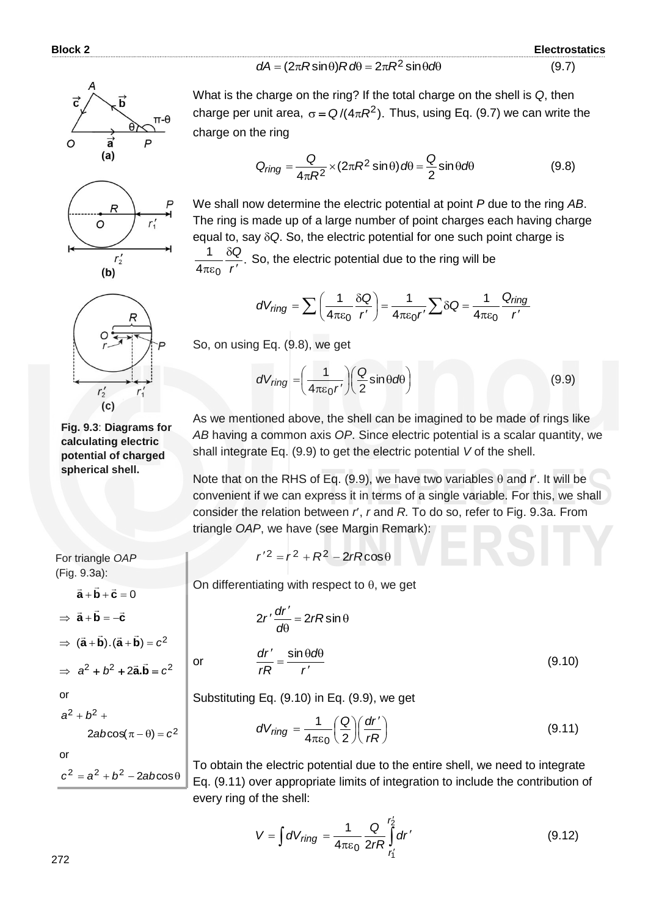**Block 2 Electrostatics** (9.7)







**Fig. 9.3**: **Diagrams for calculating electric potential of charged spherical shell.**

What is the charge on the ring? If the total charge on the shell is *Q*, then charge per unit area,  $\sigma = Q/(4\pi R^2)$ . Thus, using Eq. (9.7) we can write the charge on the ring

 $dA = (2\pi R$ sin $\theta)R$ *d* $\theta = 2\pi R^2$  sin $\theta$ *d* $\theta$ 

$$
Q_{ring} = \frac{Q}{4\pi R^2} \times (2\pi R^2 \sin \theta) d\theta = \frac{Q}{2} \sin \theta d\theta
$$
 (9.8)

We shall now determine the electric potential at point *P* due to the ring *AB*. The ring is made up of a large number of point charges each having charge equal to, say *Q*. So, the electric potential for one such point charge is . 4 1 0 *r Q*  $\overline{\phantom{a}}$  $\delta$  $\pi\varepsilon$ So, the electric potential due to the ring will be

$$
dV_{ring} = \sum \left(\frac{1}{4\pi\epsilon_0} \frac{\delta Q}{r'}\right) = \frac{1}{4\pi\epsilon_0 r'} \sum \delta Q = \frac{1}{4\pi\epsilon_0} \frac{Q_{ring}}{r'}
$$

So, on using Eq. (9.8), we get

$$
dV_{ring} = \left(\frac{1}{4\pi\epsilon_0 r'}\right) \left(\frac{Q}{2}\sin\theta d\theta\right)
$$
 (9.9)

As we mentioned above, the shell can be imagined to be made of rings like *AB* having a common axis *OP*. Since electric potential is a scalar quantity, we shall integrate Eq. (9.9) to get the electric potential *V* of the shell.

Note that on the RHS of Eq. (9.9), we have two variables  $\theta$  and  $\theta'$ . It will be convenient if we can express it in terms of a single variable. For this, we shall consider the relation between *r*, *r* and *R.* To do so, refer to Fig. 9.3a. From triangle *OAP*, we have (see Margin Remark):

$$
r'^2 = r^2 + R^2 - 2rR\cos\theta
$$

On differentiating with respect to  $\theta$ , we get

$$
\Rightarrow \vec{a} + \vec{b} = -\vec{c}
$$

 $\vec{a} + \vec{b} + \vec{c} = 0$ 

For triangle *OAP* (Fig. 9.3a):

 $\Rightarrow$   $(\vec{a} + \vec{b}) \cdot (\vec{a} + \vec{b}) = c^2$ 

 $\Rightarrow$   $a^2 + b^2 + 2\vec{a} \cdot \vec{b} = c^2$ 

or

or

$$
a^2 + b^2 +
$$

$$
2ab\cos(\pi-\theta)=c^2
$$

$$
\qquad \qquad \text{or} \qquad \qquad
$$

 $c^2 = a^2 + b^2 - 2ab\cos\theta$ 

$$
2r'\frac{dr'}{d\theta} = 2rR\sin\theta
$$
  
or 
$$
\frac{dr'}{rR} = \frac{\sin\theta d\theta}{r'}
$$
 (9.10)

Substituting Eq. (9.10) in Eq. (9.9), we get

$$
dV_{ring} = \frac{1}{4\pi\varepsilon_0} \left(\frac{Q}{2}\right) \left(\frac{dr'}{rR}\right)
$$
 (9.11)

To obtain the electric potential due to the entire shell, we need to integrate Eq. (9.11) over appropriate limits of integration to include the contribution of every ring of the shell:

$$
V = \int dV_{ring} = \frac{1}{4\pi\epsilon_0} \frac{Q}{2rR} \int_{r'_1}^{r'_2} dr'
$$
 (9.12)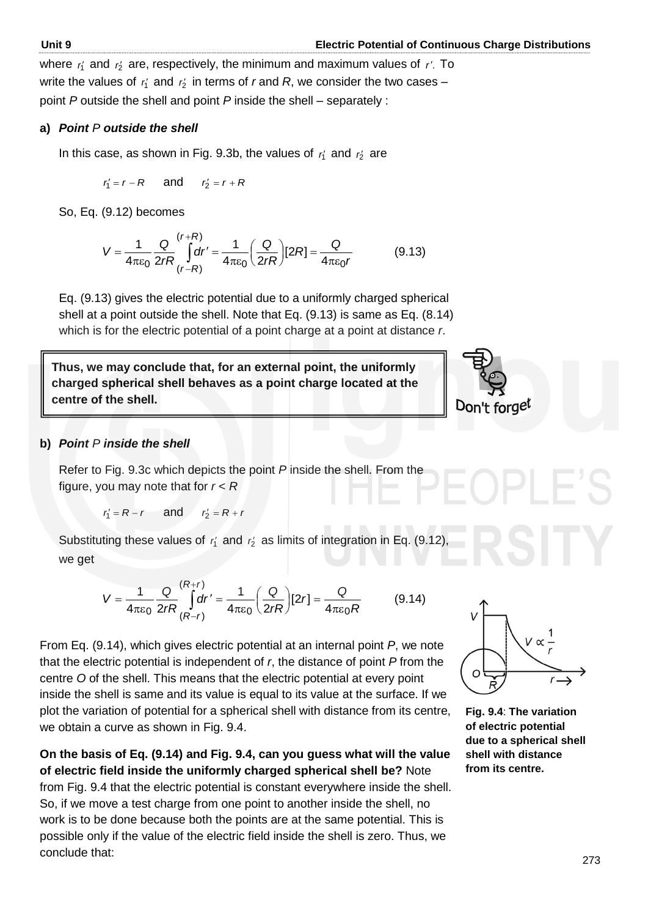where  $r_1$  and  $r_2$  are, respectively, the minimum and maximum values of r'. To write the values of  $r_1$  and  $r_2$  in terms of *r* and *R*, we consider the two cases – point *P* outside the shell and point *P* inside the shell – separately :

### **a)** *Point P outside the shell*

In this case, as shown in Fig. 9.3b, the values of  $r_1$  and  $r_2$  are

 $r_1$  $r'_1 = r - R$ and  $r'_2 = r + R$ 

So, Eq. (9.12) becomes

$$
V = \frac{1}{4\pi\epsilon_0} \frac{Q}{2rR} \int_{(r-R)}^{(r+R)} dr' = \frac{1}{4\pi\epsilon_0} \left(\frac{Q}{2rR}\right) [2R] = \frac{Q}{4\pi\epsilon_0 r}
$$
(9.13)

Eq. (9.13) gives the electric potential due to a uniformly charged spherical shell at a point outside the shell. Note that Eq. (9.13) is same as Eq. (8.14) which is for the electric potential of a point charge at a point at distance *r*.

**Thus, we may conclude that, for an external point, the uniformly charged spherical shell behaves as a point charge located at the centre of the shell.**



### **b)** *Point P inside the shell*

Refer to Fig. 9.3c which depicts the point *P* inside the shell. From the figure, you may note that for *r* < *R*

 $r'_1 = R - r$  and  $r'_2 = R + r$ 

Substituting these values of  $r_1$  and  $r_2$  as limits of integration in Eq. (9.12), we get

$$
V = \frac{1}{4\pi\epsilon_0} \frac{Q}{2rR} \int_{(R-r)}^{(R+r)} dr' = \frac{1}{4\pi\epsilon_0} \left(\frac{Q}{2rR}\right) [2r] = \frac{Q}{4\pi\epsilon_0 R}
$$
(9.14)

From Eq. (9.14), which gives electric potential at an internal point *P*, we note that the electric potential is independent of *r*, the distance of point *P* from the centre *O* of the shell. This means that the electric potential at every point inside the shell is same and its value is equal to its value at the surface. If we plot the variation of potential for a spherical shell with distance from its centre, we obtain a curve as shown in Fig. 9.4.

**On the basis of Eq. (9.14) and Fig. 9.4, can you guess what will the value of electric field inside the uniformly charged spherical shell be?** Note from Fig. 9.4 that the electric potential is constant everywhere inside the shell. So, if we move a test charge from one point to another inside the shell, no work is to be done because both the points are at the same potential. This is possible only if the value of the electric field inside the shell is zero. Thus, we conclude that:



**Fig. 9.4**: **The variation of electric potential due to a spherical shell shell with distance from its centre.**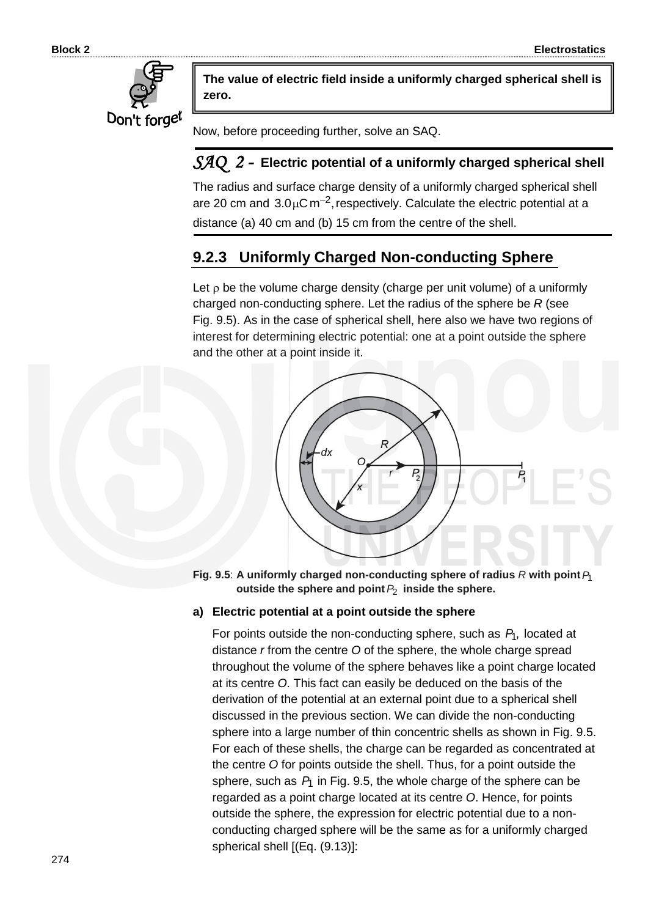

**The value of electric field inside a uniformly charged spherical shell is zero.**

Now, before proceeding further, solve an SAQ.

### *SAQ 2 -* **Electric potential of a uniformly charged spherical shell**

The radius and surface charge density of a uniformly charged spherical shell are 20 cm and  $3.0 \mu$ C m<sup>-2</sup>, respectively. Calculate the electric potential at a distance (a) 40 cm and (b) 15 cm from the centre of the shell.

# **9.2.3 Uniformly Charged Non-conducting Sphere**

Let  $\rho$  be the volume charge density (charge per unit volume) of a uniformly charged non-conducting sphere. Let the radius of the sphere be *R* (see Fig. 9.5). As in the case of spherical shell, here also we have two regions of interest for determining electric potential: one at a point outside the sphere and the other at a point inside it.



Fig. 9.5: A uniformly charged non-conducting sphere of radius  $R$  with point  $P_1$ **outside the sphere and point** *P*2  **inside the sphere.**

### **a) Electric potential at a point outside the sphere**

For points outside the non-conducting sphere, such as  $P_1$ , located at distance *r* from the centre *O* of the sphere, the whole charge spread throughout the volume of the sphere behaves like a point charge located at its centre *O*. This fact can easily be deduced on the basis of the derivation of the potential at an external point due to a spherical shell discussed in the previous section. We can divide the non-conducting sphere into a large number of thin concentric shells as shown in Fig. 9.5. For each of these shells, the charge can be regarded as concentrated at the centre *O* for points outside the shell. Thus, for a point outside the sphere, such as  $P_1$  in Fig. 9.5, the whole charge of the sphere can be regarded as a point charge located at its centre *O*. Hence, for points outside the sphere, the expression for electric potential due to a nonconducting charged sphere will be the same as for a uniformly charged spherical shell [(Eq. (9.13)]: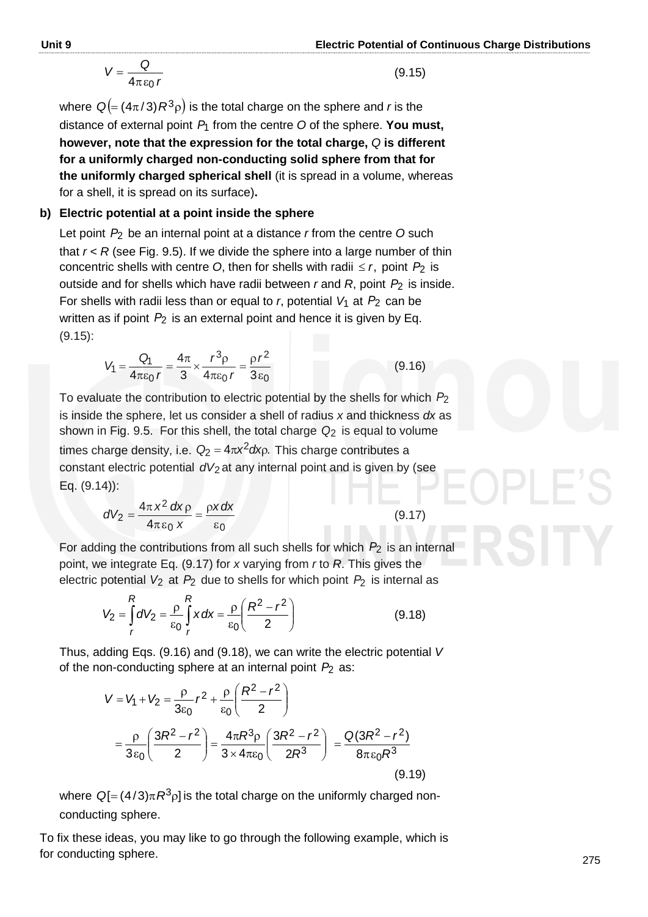$$
V = \frac{Q}{4\pi\epsilon_0 r} \tag{9.15}
$$

where  $\ Q (=(4\pi/3)R^3\rho )$  is the total charge on the sphere and *r* is the distance of external point *P*1 from the centre *O* of the sphere. **You must, however, note that the expression for the total charge,** *Q* **is different for a uniformly charged non-conducting solid sphere from that for the uniformly charged spherical shell** (it is spread in a volume, whereas for a shell, it is spread on its surface)**.**

### **b) Electric potential at a point inside the sphere**

Let point  $P_2$  be an internal point at a distance *r* from the centre O such that  $r < R$  (see Fig. 9.5). If we divide the sphere into a large number of thin concentric shells with centre O, then for shells with radii  $\leq r$ , point  $P_2$  is outside and for shells which have radii between *r* and *R*, point *P*2 is inside. For shells with radii less than or equal to *r*, potential  $V_1$  at  $P_2$  can be written as if point  $P_2$  is an external point and hence it is given by Eq. (9.15):

$$
V_1 = \frac{Q_1}{4\pi\varepsilon_0 r} = \frac{4\pi}{3} \times \frac{r^3 \rho}{4\pi\varepsilon_0 r} = \frac{\rho r^2}{3\varepsilon_0}
$$
(9.16)

To evaluate the contribution to electric potential by the shells for which *P*2 is inside the sphere, let us consider a shell of radius *x* and thickness *dx* as shown in Fig. 9.5. For this shell, the total charge *Q*2 is equal to volume times charge density, i.e.  $Q_2 = 4\pi x^2 dx$ <sub>P</sub>. This charge contributes a constant electric potential dV<sub>2</sub> at any internal point and is given by (see Eq. (9.14)):

$$
dV_2 = \frac{4\pi x^2 dx \rho}{4\pi \epsilon_0 x} = \frac{\rho x dx}{\epsilon_0}
$$
(9.17)

For adding the contributions from all such shells for which *P*2 is an internal point, we integrate Eq. (9.17) for *x* varying from *r* to *R*. This gives the electric potential  $V_2$  at  $P_2$  due to shells for which point  $P_2$  is internal as

$$
V_2 = \int_{r}^{R} dV_2 = \frac{\rho}{\epsilon_0} \int_{r}^{R} x \, dx = \frac{\rho}{\epsilon_0} \left( \frac{R^2 - r^2}{2} \right) \tag{9.18}
$$

Thus, adding Eqs. (9.16) and (9.18), we can write the electric potential *V* of the non-conducting sphere at an internal point *P*2 as:

$$
V = V_1 + V_2 = \frac{\rho}{3\varepsilon_0}r^2 + \frac{\rho}{\varepsilon_0} \left(\frac{R^2 - r^2}{2}\right)
$$
  
=  $\frac{\rho}{3\varepsilon_0} \left(\frac{3R^2 - r^2}{2}\right) = \frac{4\pi R^3 \rho}{3 \times 4\pi\varepsilon_0} \left(\frac{3R^2 - r^2}{2R^3}\right) = \frac{Q(3R^2 - r^2)}{8\pi\varepsilon_0 R^3}$  (9.19)

where  $\ Q [ = (4/3) \pi R^3 \rho ]$  is the total charge on the uniformly charged nonconducting sphere.

To fix these ideas, you may like to go through the following example, which is for conducting sphere.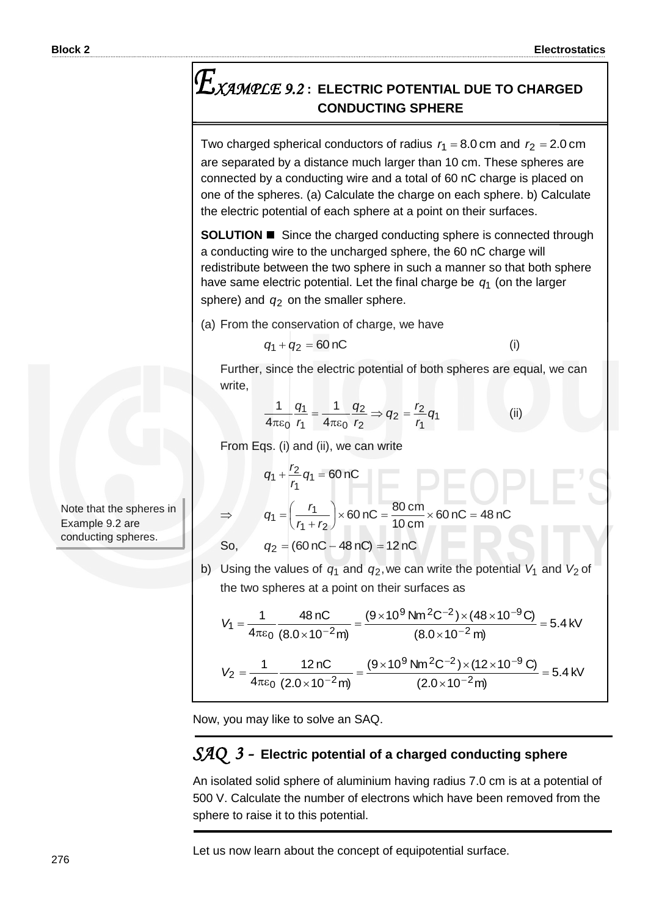(i)

# *XAMPLE 9.2* **: ELECTRIC POTENTIAL DUE TO CHARGED CONDUCTING SPHERE**

Two charged spherical conductors of radius  $r_1 = 8.0$  cm and  $r_2 = 2.0$  cm are separated by a distance much larger than 10 cm. These spheres are connected by a conducting wire and a total of 60 nC charge is placed on one of the spheres. (a) Calculate the charge on each sphere. b) Calculate the electric potential of each sphere at a point on their surfaces.

**SOLUTION ■** Since the charged conducting sphere is connected through a conducting wire to the uncharged sphere, the 60 nC charge will redistribute between the two sphere in such a manner so that both sphere have same electric potential. Let the final charge be *q*1 (on the larger sphere) and  $q_2$  on the smaller sphere.

(a) From the conservation of charge, we have

$$
q_1+q_2=60\,\mathrm{nC}
$$

Further, since the electric potential of both spheres are equal, we can write,

$$
\frac{1}{4\pi\varepsilon_0}\frac{q_1}{r_1}=\frac{1}{4\pi\varepsilon_0}\frac{q_2}{r_2}\Rightarrow q_2=\frac{r_2}{r_1}q_1\tag{ii}
$$

From Eqs. (i) and (ii), we can write

$$
q + \frac{r_2}{r_1} q_1 = 60 \text{ nC}
$$

$$
q_1 = \left(\frac{r_1}{r_1 + r_2}\right) \times 60 \text{ nC} = \frac{80 \text{ cm}}{10 \text{ cm}} \times 60 \text{ nC} = 48 \text{ nC}
$$

So,  $q_2 = (60 \text{ nC} - 48 \text{ nC}) = 12 \text{ nC}$ 

*q*

 $\Rightarrow$ 

b) Using the values of  $q_1$  and  $q_2$ , we can write the potential  $V_1$  and  $V_2$  of the two spheres at a point on their surfaces as

$$
V_1 = \frac{1}{4\pi\epsilon_0} \frac{48 \text{ nC}}{(8.0 \times 10^{-2} \text{ m})} = \frac{(9 \times 10^9 \text{ N m}^2 \text{C}^{-2}) \times (48 \times 10^{-9} \text{C})}{(8.0 \times 10^{-2} \text{ m})} = 5.4 \text{ kV}
$$

$$
V_2 = \frac{1}{4\pi\epsilon_0} \frac{12 \text{ nC}}{(2.0 \times 10^{-2} \text{ m})} = \frac{(9 \times 10^9 \text{ N m}^2 \text{C}^{-2}) \times (12 \times 10^{-9} \text{C})}{(2.0 \times 10^{-2} \text{ m})} = 5.4 \text{ kV}
$$

Now, you may like to solve an SAQ.

### *SAQ 3 -* **Electric potential of a charged conducting sphere**

An isolated solid sphere of aluminium having radius 7.0 cm is at a potential of 500 V. Calculate the number of electrons which have been removed from the sphere to raise it to this potential.

Let us now learn about the concept of equipotential surface.

Note that the spheres in Example 9.2 are conducting spheres.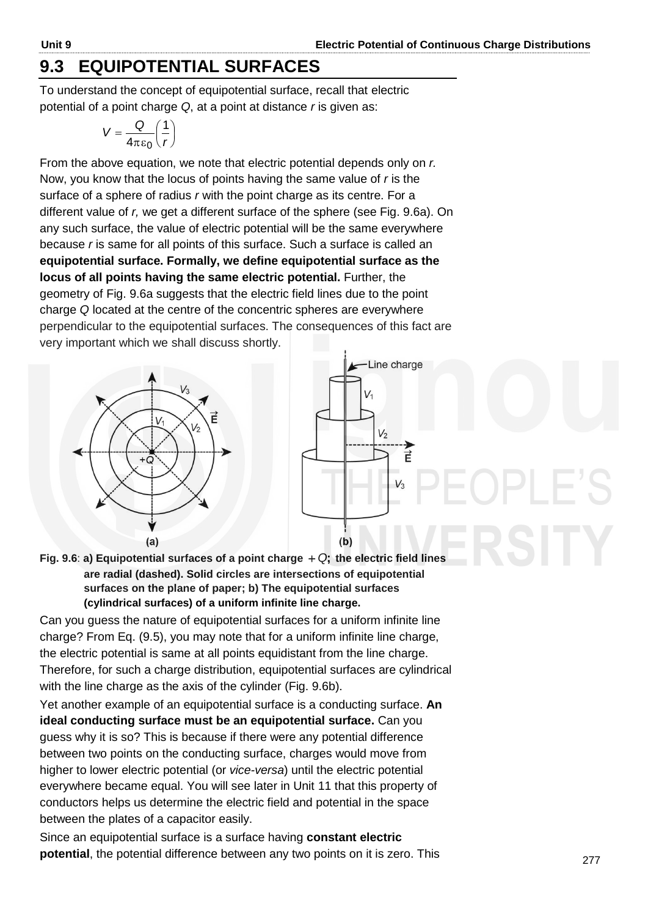# **9.3 EQUIPOTENTIAL SURFACES**

To understand the concept of equipotential surface, recall that electric potential of a point charge *Q*, at a point at distance *r* is given as:

$$
V = \frac{Q}{4\pi\epsilon_0} \left(\frac{1}{r}\right)
$$

From the above equation, we note that electric potential depends only on *r.*  Now, you know that the locus of points having the same value of *r* is the surface of a sphere of radius *r* with the point charge as its centre. For a different value of *r,* we get a different surface of the sphere (see Fig. 9.6a). On any such surface, the value of electric potential will be the same everywhere because *r* is same for all points of this surface. Such a surface is called an **equipotential surface. Formally, we define equipotential surface as the locus of all points having the same electric potential.** Further, the geometry of Fig. 9.6a suggests that the electric field lines due to the point charge *Q* located at the centre of the concentric spheres are everywhere perpendicular to the equipotential surfaces. The consequences of this fact are very important which we shall discuss shortly.





Fig. 9.6: a) Equipotential surfaces of a point charge  $+Q$ ; the electric field lines **are radial (dashed). Solid circles are intersections of equipotential surfaces on the plane of paper; b) The equipotential surfaces (cylindrical surfaces) of a uniform infinite line charge.** 

Can you guess the nature of equipotential surfaces for a uniform infinite line charge? From Eq. (9.5), you may note that for a uniform infinite line charge, the electric potential is same at all points equidistant from the line charge. Therefore, for such a charge distribution, equipotential surfaces are cylindrical with the line charge as the axis of the cylinder (Fig. 9.6b).

Yet another example of an equipotential surface is a conducting surface. **An ideal conducting surface must be an equipotential surface.** Can you guess why it is so? This is because if there were any potential difference between two points on the conducting surface, charges would move from higher to lower electric potential (or *vice-versa*) until the electric potential everywhere became equal. You will see later in Unit 11 that this property of conductors helps us determine the electric field and potential in the space between the plates of a capacitor easily.

Since an equipotential surface is a surface having **constant electric potential**, the potential difference between any two points on it is zero. This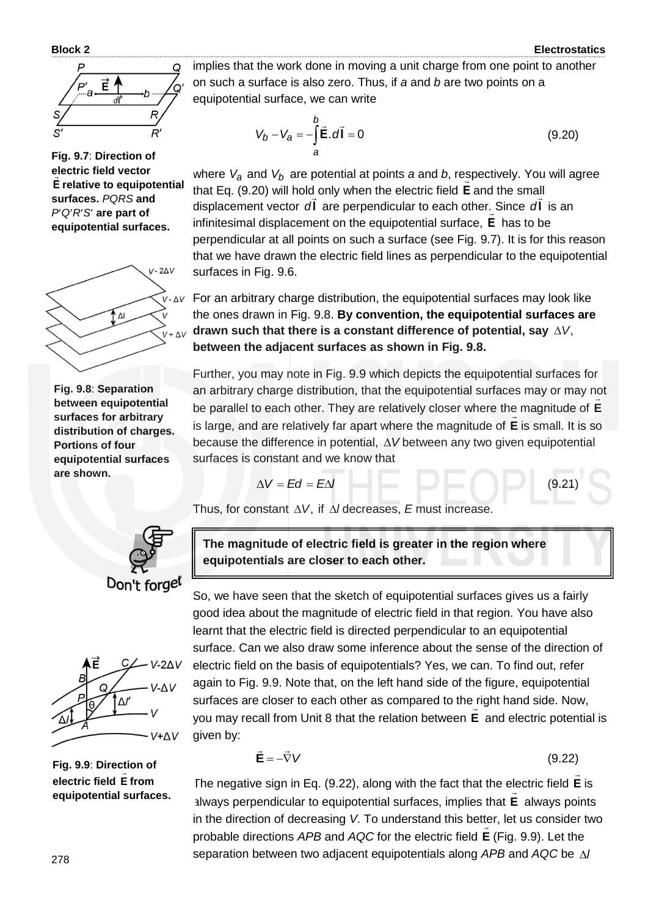

**Fig. 9.7**: **Direction of electric field vector Ε relative to equipotential surfaces.** *PQRS* **and**  *PQRS* **are part of equipotential surfaces.**



**Fig. 9.8**: **Separation between equipotential surfaces for arbitrary distribution of charges. Portions of four equipotential surfaces are shown.**



$$
V_b - V_a = -\int_a^b \vec{E} \cdot d\vec{l} = 0
$$
 (9.20)

where *Va* and *Vb* are potential at points *a* and *b*, respectively. You will agree that Eq. (9.20) will hold only when the electric field **E** and the small displacement vector dl are perpendicular to each other. Since dl is an infinitesimal displacement on the equipotential surface, **Ε** has to be perpendicular at all points on such a surface (see Fig. 9.7). It is for this reason that we have drawn the electric field lines as perpendicular to the equipotential surfaces in Fig. 9.6.

 $V - \Delta V$  For an arbitrary charge distribution, the equipotential surfaces may look like the ones drawn in Fig. 9.8. **By convention, the equipotential surfaces are drawn such that there is a constant difference of potential, say**  *V*, **between the adjacent surfaces as shown in Fig. 9.8.**

Further, you may note in Fig. 9.9 which depicts the equipotential surfaces for an arbitrary charge distribution, that the equipotential surfaces may or may not be parallel to each other. They are relatively closer where the magnitude of **E** is large, and are relatively far apart where the magnitude of **E** is small. It is so because the difference in potential,  $\Delta V$  between any two given equipotential surfaces is constant and we know that

$$
\Delta V = Ed = E\Delta I \tag{9.21}
$$

Thus, for constant  $\Delta V$ , if  $\Delta l$  decreases, *E* must increase.



**The magnitude of electric field is greater in the region where equipotentials are closer to each other.**

So, we have seen that the sketch of equipotential surfaces gives us a fairly good idea about the magnitude of electric field in that region. You have also learnt that the electric field is directed perpendicular to an equipotential surface. Can we also draw some inference about the sense of the direction of electric field on the basis of equipotentials? Yes, we can. To find out, refer again to Fig. 9.9. Note that, on the left hand side of the figure, equipotential surfaces are closer to each other as compared to the right hand side. Now, you may recall from Unit 8 that the relation between **E** and electric potential is given by:

$$
\vec{\mathbf{E}} = -\vec{\nabla}V\tag{9.22}
$$

The negative sign in Eq. (9.22), along with the fact that the electric field **E**  $\overline{\phantom{a}}$ lectric field  $\boldsymbol{\mathsf{E}}$  is always perpendicular to equipotential surfaces, implies that **E** always points in the direction of decreasing *V*. To understand this better, let us consider two probable directions *APB* and *AQC* for the electric field **E** (Fig. 9.9). Let the separation between two adjacent equipotentials along *APB* and *AQC* be *l*



**Fig. 9.9**: **Direction of electric field E from equipotential surfaces.**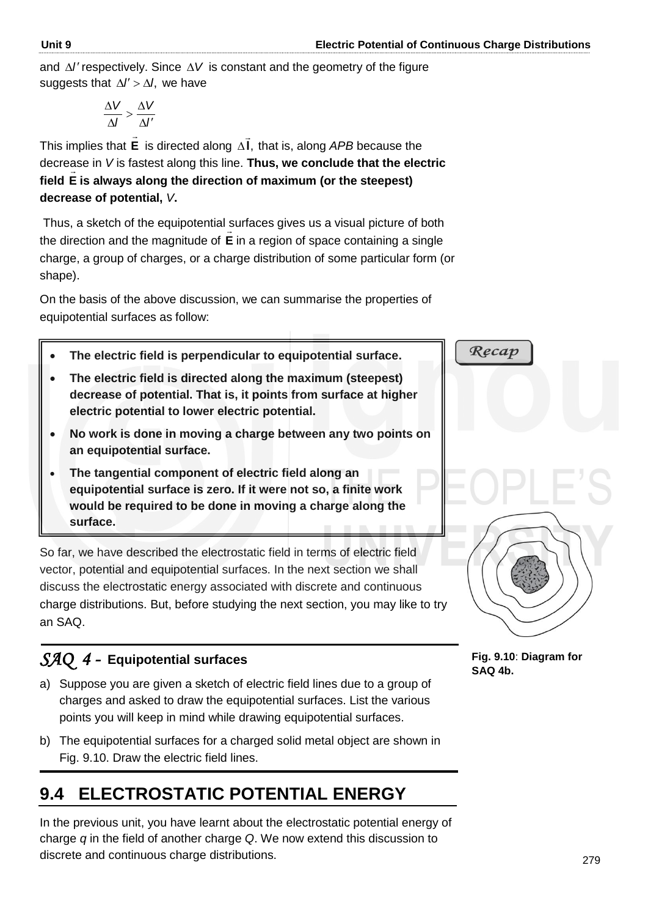and  $\Delta l'$  respectively. Since  $\Delta V$  is constant and the geometry of the figure suggests that  $\Delta l' > \Delta l$ , we have

$$
\frac{\Delta V}{\Delta l} > \frac{\Delta V}{\Delta l'}
$$

This implies that **E**  $\rightarrow$ is directed along **l**,  $\overline{a}$  $\Delta$ I, that is, along *APB* because the decrease in *V* is fastest along this line. **Thus, we conclude that the electric field E is always along the direction of maximum (or the steepest) decrease of potential,** *V***.** 

 Thus, a sketch of the equipotential surfaces gives us a visual picture of both the direction and the magnitude of **E** in a region of space containing a single charge, a group of charges, or a charge distribution of some particular form (or shape).

On the basis of the above discussion, we can summarise the properties of equipotential surfaces as follow:

- **The electric field is perpendicular to equipotential surface.**
- **The electric field is directed along the maximum (steepest) decrease of potential. That is, it points from surface at higher electric potential to lower electric potential.**
- **No work is done in moving a charge between any two points on an equipotential surface.**
- **The tangential component of electric field along an equipotential surface is zero. If it were not so, a finite work would be required to be done in moving a charge along the surface.**

So far, we have described the electrostatic field in terms of electric field vector, potential and equipotential surfaces. In the next section we shall discuss the electrostatic energy associated with discrete and continuous charge distributions. But, before studying the next section, you may like to try an SAQ.

# *SAQ 4 -* **Equipotential surfaces**

- a) Suppose you are given a sketch of electric field lines due to a group of charges and asked to draw the equipotential surfaces. List the various points you will keep in mind while drawing equipotential surfaces.
- b) The equipotential surfaces for a charged solid metal object are shown in Fig. 9.10. Draw the electric field lines.

# **9.4 ELECTROSTATIC POTENTIAL ENERGY**

In the previous unit, you have learnt about the electrostatic potential energy of charge *q* in the field of another charge *Q*. We now extend this discussion to discrete and continuous charge distributions.



**Fig. 9.10**: **Diagram for SAQ 4b.**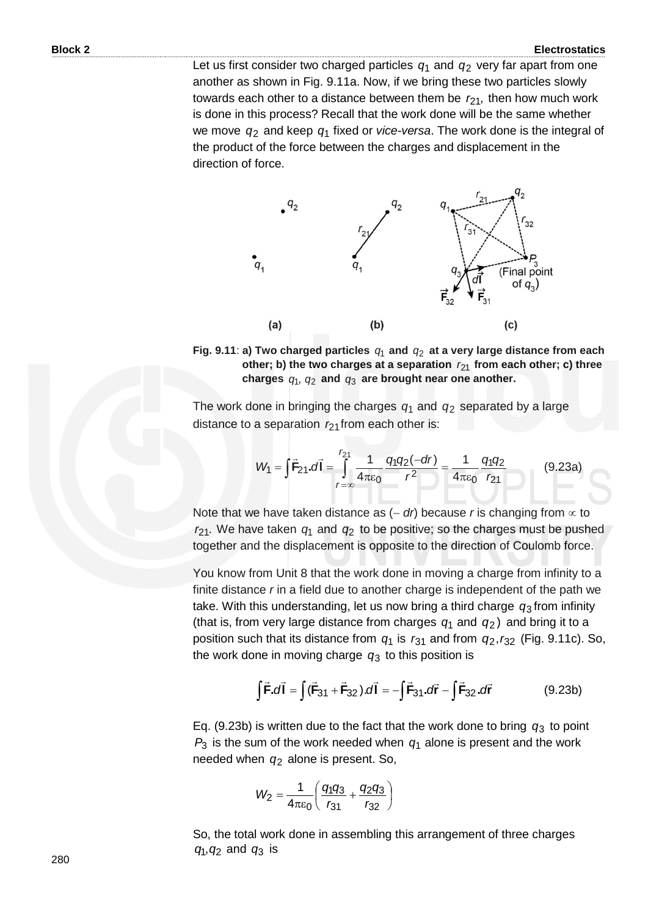Let us first consider two charged particles  $q_1$  and  $q_2$  very far apart from one another as shown in Fig. 9.11a. Now, if we bring these two particles slowly towards each other to a distance between them be  $r_{21}$ , then how much work is done in this process? Recall that the work done will be the same whether we move *q*2 and keep *q*1 fixed or *vice-versa*. The work done is the integral of the product of the force between the charges and displacement in the direction of force.



Fig. 9.11: a) Two charged particles  $q_1$  and  $q_2$  at a very large distance from each **other; b) the two charges at a separation**  *r*<sup>21</sup> **from each other; c) three**  charges  $q_1$ ,  $q_2$  and  $q_3$  are brought near one another.

The work done in bringing the charges  $q_1$  and  $q_2$  separated by a large

distance to a separation 
$$
r_{21}
$$
 from each other is:  
\n
$$
W_1 = \int \vec{F}_{21} \cdot d\vec{l} = \int_{r=\infty}^{r_{21}} \frac{1}{4\pi\epsilon_0} \frac{q_1 q_2(-dr)}{r^2} = \frac{1}{4\pi\epsilon_0} \frac{q_1 q_2}{r_{21}}
$$
(9.23a)

Note that we have taken distance as  $(- dr)$  because *r* is changing from  $\infty$  to  $r_{21}$ . We have taken  $q_1$  and  $q_2$  to be positive; so the charges must be pushed together and the displacement is opposite to the direction of Coulomb force.

You know from Unit 8 that the work done in moving a charge from infinity to a finite distance *r* in a field due to another charge is independent of the path we take. With this understanding, let us now bring a third charge *q*3 from infinity (that is, from very large distance from charges  $q_1$  and  $q_2$ ) and bring it to a position such that its distance from  $q_1$  is  $r_{31}$  and from  $q_2$ ,  $r_{32}$  (Fig. 9.11c). So, the work done in moving charge *q*3 to this position is

$$
\int \vec{F} \cdot d\vec{l} = \int (\vec{F}_{31} + \vec{F}_{32}) \cdot d\vec{l} = -\int \vec{F}_{31} \cdot d\vec{r} - \int \vec{F}_{32} \cdot d\vec{r}
$$
 (9.23b)

Eq. (9.23b) is written due to the fact that the work done to bring  $q_3$  to point  $P_3$  is the sum of the work needed when  $q_1$  alone is present and the work needed when *q*2 alone is present. So,

$$
W_2 = \frac{1}{4\pi\epsilon_0} \left( \frac{q_1 q_3}{r_{31}} + \frac{q_2 q_3}{r_{32}} \right)
$$

So, the total work done in assembling this arrangement of three charges  $q_1, q_2$  and  $q_3$  is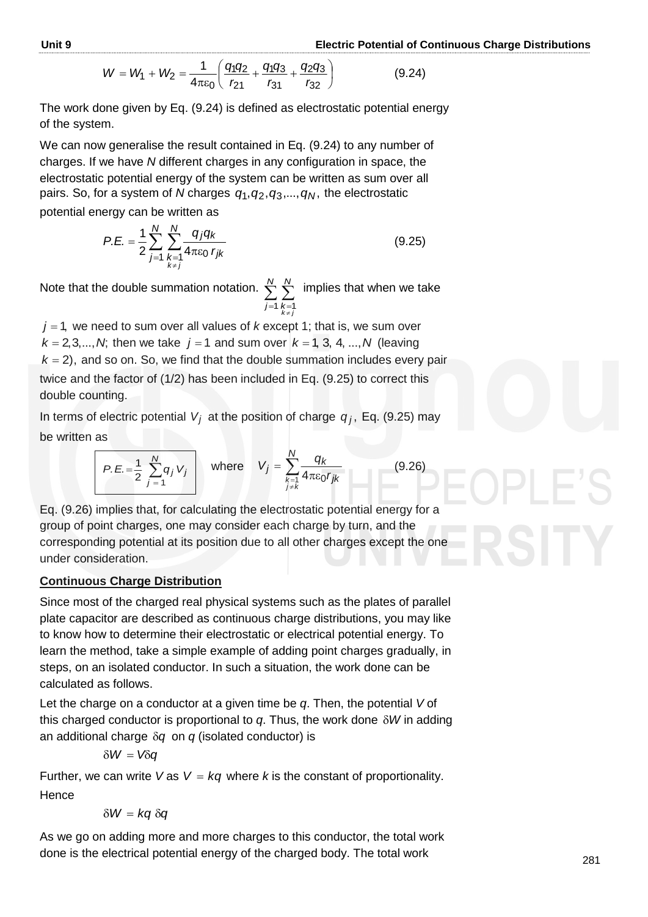$$
W = W_1 + W_2 = \frac{1}{4\pi\epsilon_0} \left( \frac{q_1 q_2}{r_{21}} + \frac{q_1 q_3}{r_{31}} + \frac{q_2 q_3}{r_{32}} \right)
$$
(9.24)

The work done given by Eq. (9.24) is defined as electrostatic potential energy of the system.

We can now generalise the result contained in Eq. (9.24) to any number of charges. If we have *N* different charges in any configuration in space, the electrostatic potential energy of the system can be written as sum over all pairs. So, for a system of *N* charges  $q_1, q_2, q_3,...,q_N$ , the electrostatic

potential energy can be written as

$$
P.E. = \frac{1}{2} \sum_{j=1}^{N} \sum_{\substack{k=1 \ k \neq j}}^{N} \frac{q_j q_k}{4 \pi \varepsilon_0 r_{jk}}
$$
(9.25)

Note that the double summation notation.  $\sum_{j=1}^{N} \sum_{k=1}^{N}$  $\neq$ *N j N*  $k = 1$ *jk* implies that when we take

 $j$  = 1, we need to sum over all values of  $k$  except 1; that is, we sum over  $k = 2, 3, ..., N$ ; then we take  $j = 1$  and sum over  $k = 1, 3, 4, ..., N$  (leaving  $k = 2$ ), and so on. So, we find that the double summation includes every pair twice and the factor of (1/2) has been included in Eq. (9.25) to correct this double counting.

In terms of electric potential  $V_j$  at the position of charge  $q_j$ , Eq. (9.25) may be written as

$$
P.E. = \frac{1}{2} \sum_{j=1}^{N} q_j V_j
$$
 where  $V_j = \sum_{\substack{k=1 \ k \neq k}}^{N} \frac{q_k}{4 \pi \epsilon_0 r_{jk}}$  (9.26)

Eq. (9.26) implies that, for calculating the electrostatic potential energy for a group of point charges, one may consider each charge by turn, and the corresponding potential at its position due to all other charges except the one under consideration.

### **Continuous Charge Distribution**

Since most of the charged real physical systems such as the plates of parallel plate capacitor are described as continuous charge distributions, you may like to know how to determine their electrostatic or electrical potential energy. To learn the method, take a simple example of adding point charges gradually, in steps, on an isolated conductor. In such a situation, the work done can be calculated as follows.

Let the charge on a conductor at a given time be *q*. Then, the potential *V* of this charged conductor is proportional to  $q$ . Thus, the work done  $\delta W$  in adding an additional charge  $\delta q$  on  $q$  (isolated conductor) is

$$
\delta W = V \delta q
$$

Further, we can write  $V$  as  $V = kq$  where k is the constant of proportionality. Hence

$$
\delta W = kq \, \delta q
$$

As we go on adding more and more charges to this conductor, the total work done is the electrical potential energy of the charged body. The total work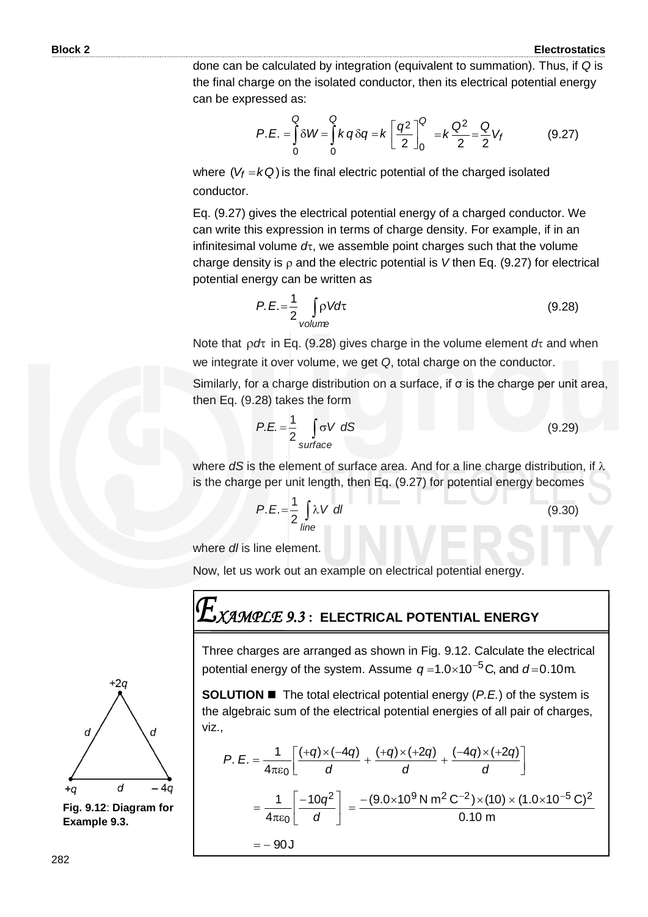done can be calculated by integration (equivalent to summation). Thus, if *Q* is the final charge on the isolated conductor, then its electrical potential energy can be expressed as:

$$
P.E. = \int_{0}^{Q} \delta W = \int_{0}^{Q} k q \delta q = k \left[ \frac{q^{2}}{2} \right]_{0}^{Q} = k \frac{Q^{2}}{2} = \frac{Q}{2} V_{f}
$$
(9.27)

where  $(V_f = kQ)$  is the final electric potential of the charged isolated conductor.

Eq. (9.27) gives the electrical potential energy of a charged conductor. We can write this expression in terms of charge density. For example, if in an infinitesimal volume  $d\tau$ , we assemble point charges such that the volume charge density is  $\rho$  and the electric potential is V then Eq. (9.27) for electrical potential energy can be written as

$$
P.E. = \frac{1}{2} \int_{\text{volume}} \rho V d\tau
$$
 (9.28)

Note that  $\rho d\tau$  in Eq. (9.28) gives charge in the volume element  $d\tau$  and when we integrate it over volume, we get *Q*, total charge on the conductor.

Similarly, for a charge distribution on a surface, if σ is the charge per unit area, then Eq. (9.28) takes the form

$$
P.E. = \frac{1}{2} \int_{\text{surface}} \sigma V \ dS \tag{9.29}
$$

where  $dS$  is the element of surface area. And for a line charge distribution, if  $\lambda$ is the charge per unit length, then Eq. (9.27) for potential energy becomes

$$
P.E. = \frac{1}{2} \int_{line} \lambda V \, dl \tag{9.30}
$$

where *dl* is line element.

Now, let us work out an example on electrical potential energy.

# *XAMPLE 9.3* **: ELECTRICAL POTENTIAL ENERGY**

Three charges are arranged as shown in Fig. 9.12. Calculate the electrical potential energy of the system. Assume  $q = 1.0 \times 10^{-5}$ C, and  $d = 0.10$ m.

**SOLUTION ■** The total electrical potential energy (*P.E.*) of the system is the algebraic sum of the electrical potential energies of all pair of charges, viz.,

$$
P. E = \frac{1}{4\pi\epsilon_0} \left[ \frac{(+q) \times (-4q)}{d} + \frac{(+q) \times (+2q)}{d} + \frac{(-4q) \times (+2q)}{d} \right]
$$
  
= 
$$
\frac{1}{4\pi\epsilon_0} \left[ \frac{-10q^2}{d} \right] = \frac{-(9.0 \times 10^9 \text{ N m}^2 \text{ C}^{-2}) \times (10) \times (1.0 \times 10^{-5} \text{ C})^2}{0.10 \text{ m}}
$$
  
= -90J



**Fig. 9.12**: **Diagram for Example 9.3.**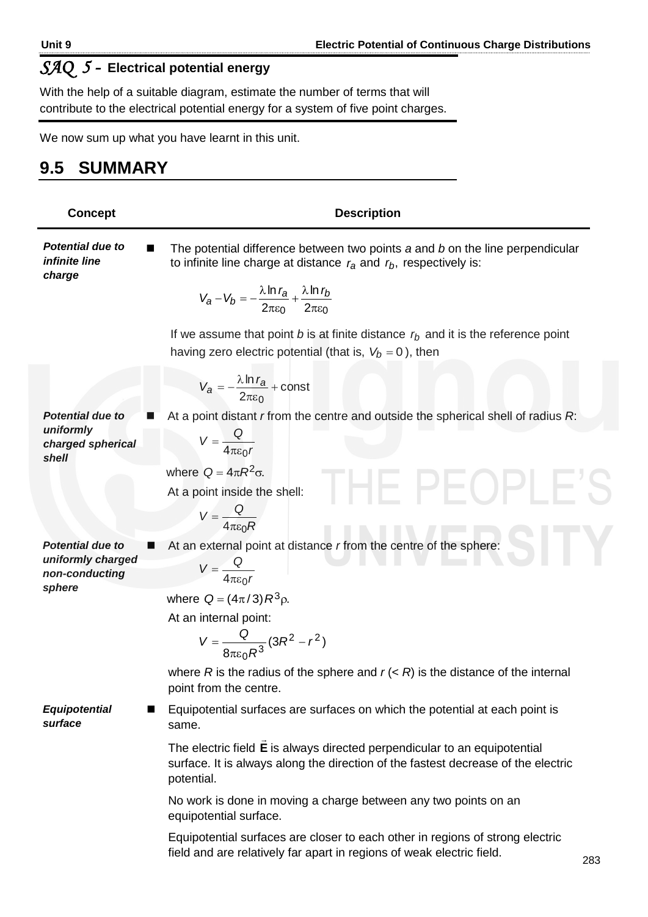# *SAQ 5 -* **Electrical potential energy**

With the help of a suitable diagram, estimate the number of terms that will contribute to the electrical potential energy for a system of five point charges.

We now sum up what you have learnt in this unit.

# **9.5 SUMMARY**

| <b>Concept</b>                                                     | <b>Description</b>                                                                                                                                                           |  |
|--------------------------------------------------------------------|------------------------------------------------------------------------------------------------------------------------------------------------------------------------------|--|
| <b>Potential due to</b><br>infinite line<br>charge                 | The potential difference between two points a and b on the line perpendicular<br>to infinite line charge at distance $r_a$ and $r_b$ , respectively is:                      |  |
|                                                                    | $V_a - V_b = -\frac{\lambda \ln r_a}{2\pi \epsilon_0} + \frac{\lambda \ln r_b}{2\pi \epsilon_0}$                                                                             |  |
|                                                                    | If we assume that point b is at finite distance $rb$ and it is the reference point<br>having zero electric potential (that is, $V_b = 0$ ), then                             |  |
|                                                                    | $V_a = -\frac{\lambda \ln r_a}{2\pi\epsilon_0} + \text{const}$                                                                                                               |  |
| <b>Potential due to</b><br>uniformly<br>charged spherical<br>shell | At a point distant r from the centre and outside the spherical shell of radius R:                                                                                            |  |
|                                                                    | $V = \frac{Q}{4\pi\epsilon_0 r}$                                                                                                                                             |  |
|                                                                    | where $Q = 4\pi R^2 \sigma$ .<br><b>THE PEOI</b>                                                                                                                             |  |
|                                                                    | At a point inside the shell:                                                                                                                                                 |  |
|                                                                    | $V = \frac{Q}{4\pi\epsilon_0 R}$                                                                                                                                             |  |
| <b>Potential due to</b><br>uniformly charged                       | At an external point at distance r from the centre of the sphere:                                                                                                            |  |
| non-conducting<br>sphere                                           | $V = \frac{Q}{4\pi\epsilon_0 r}$                                                                                                                                             |  |
|                                                                    | where $Q = (4\pi/3) R^3 \rho$ .                                                                                                                                              |  |
|                                                                    | At an internal point:                                                                                                                                                        |  |
|                                                                    | $V = \frac{Q}{8\pi\epsilon_0 R^3} (3R^2 - r^2)$                                                                                                                              |  |
|                                                                    | where R is the radius of the sphere and $r \left( \langle R \rangle \right)$ is the distance of the internal<br>point from the centre.                                       |  |
| <b>Equipotential</b><br>surface                                    | Equipotential surfaces are surfaces on which the potential at each point is<br>same.                                                                                         |  |
|                                                                    | The electric field E is always directed perpendicular to an equipotential<br>surface. It is always along the direction of the fastest decrease of the electric<br>potential. |  |
|                                                                    | No work is done in moving a charge between any two points on an<br>equipotential surface.                                                                                    |  |
|                                                                    | Equipotential surfaces are closer to each other in regions of strong electric<br>field and are relatively far apart in regions of weak electric field.<br>$\sim$             |  |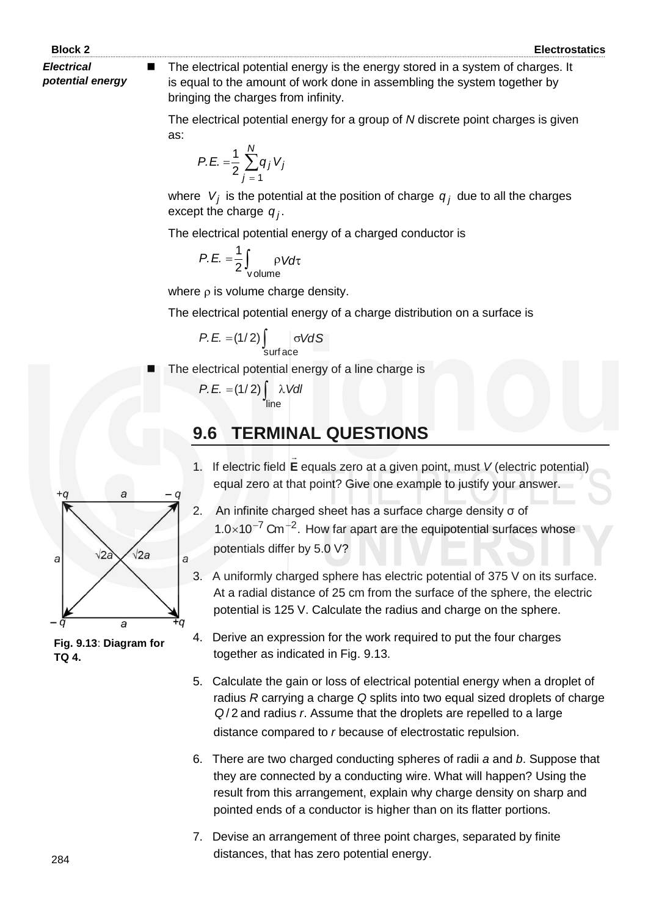*Electrical potential energy*  The electrical potential energy is the energy stored in a system of charges. It is equal to the amount of work done in assembling the system together by bringing the charges from infinity.

The electrical potential energy for a group of *N* discrete point charges is given as:

$$
P.E. = \frac{1}{2} \sum_{j=1}^{N} q_j V_j
$$

where  $V_j$  is the potential at the position of charge  $q_j$  due to all the charges except the charge  $q_j$ .

The electrical potential energy of a charged conductor is

$$
P.E. = \frac{1}{2} \int_{\text{volume}} \rho V d\tau
$$

where  $\rho$  is volume charge density.

The electrical potential energy of a charge distribution on a surface is

$$
P.E. = (1/2) \int_{\text{surface}} \sigma V dS
$$

The electrical potential energy of a line charge is

$$
P.E. = (1/2) \int_{\text{line}} \lambda \text{VdI}
$$

# **9.6 TERMINAL QUESTIONS**

- 1. If electric field **E**  $\rightarrow$ equals zero at a given point, must *V* (electric potential) equal zero at that point? Give one example to justify your answer.
- 2. An infinite charged sheet has a surface charge density σ of  $1.0 \times 10^{-7}$  Cm<sup>-2</sup>. How far apart are the equipotential surfaces whose potentials differ by 5.0 V?
- 3. A uniformly charged sphere has electric potential of 375 V on its surface. At a radial distance of 25 cm from the surface of the sphere, the electric potential is 125 V. Calculate the radius and charge on the sphere.



**Fig. 9.13**: **Diagram for TQ 4.**

- 4. Derive an expression for the work required to put the four charges together as indicated in Fig. 9.13.
- 5. Calculate the gain or loss of electrical potential energy when a droplet of radius *R* carrying a charge *Q* splits into two equal sized droplets of charge *Q* 2/ and radius *r*. Assume that the droplets are repelled to a large distance compared to *r* because of electrostatic repulsion.
- 6. There are two charged conducting spheres of radii *a* and *b*. Suppose that they are connected by a conducting wire. What will happen? Using the result from this arrangement, explain why charge density on sharp and pointed ends of a conductor is higher than on its flatter portions.
- 7. Devise an arrangement of three point charges, separated by finite distances, that has zero potential energy.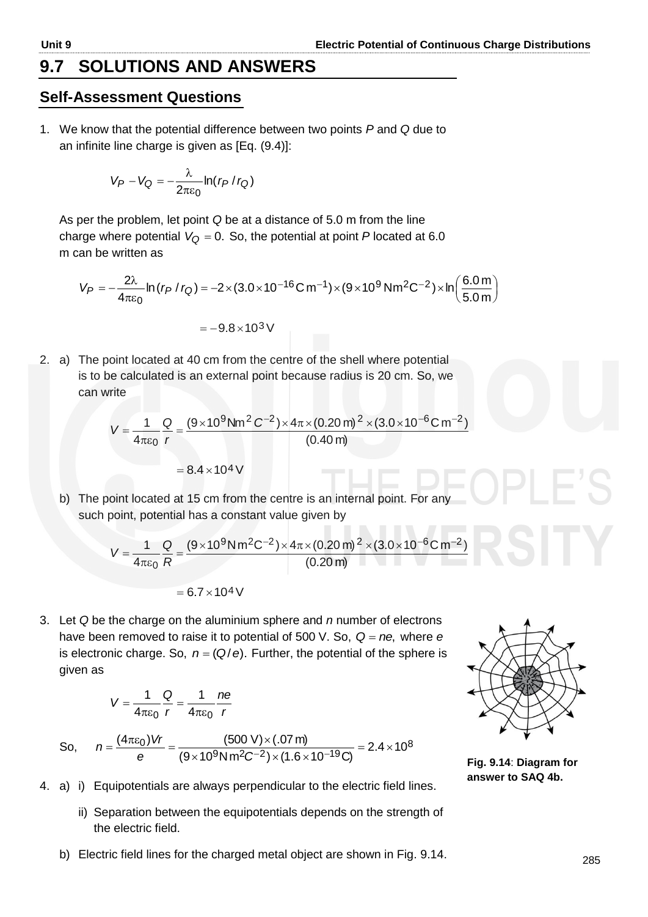### **9.7 SOLUTIONS AND ANSWERS**

### **Self-Assessment Questions**

1. We know that the potential difference between two points *P* and *Q* due to an infinite line charge is given as [Eq. (9.4)]:

$$
V_P - V_Q = -\frac{\lambda}{2\pi\varepsilon_0} \ln(r_P/r_Q)
$$

As per the problem, let point *Q* be at a distance of 5.0 m from the line charge where potential  $V_Q$  = 0. So, the potential at point  $P$  located at 6.0 m can be written as

$$
V_P = -\frac{2\lambda}{4\pi\epsilon_0} \ln (r_P / r_Q) = -2 \times (3.0 \times 10^{-16} \text{C m}^{-1}) \times (9 \times 10^9 \text{ N} \text{m}^2 \text{C}^{-2}) \times \ln \left(\frac{6.0 \text{ m}}{5.0 \text{ m}}\right)
$$

$$
=-9.8\times10^{3}\,V
$$

2. a) The point located at 40 cm from the centre of the shell where potential is to be calculated is an external point because radius is 20 cm. So, we can write

$$
V = \frac{1}{4\pi\epsilon_0} \frac{Q}{r} = \frac{(9 \times 10^9 \text{ Nm}^2 \text{ C}^{-2}) \times 4\pi \times (0.20 \text{ m})^2 \times (3.0 \times 10^{-6} \text{ C m}^{-2})}{(0.40 \text{ m})}
$$

$$
= 8.4 \times 10^4 \text{ V}
$$

b) The point located at 15 cm from the centre is an internal point. For any such point, potential has a constant value given by

$$
V = \frac{1}{4\pi\epsilon_0} \frac{Q}{R} = \frac{(9 \times 10^9 \text{ N m}^2 \text{C}^{-2}) \times 4\pi \times (0.20 \text{ m})^2 \times (3.0 \times 10^{-6} \text{C m}^{-2})}{(0.20 \text{ m})}
$$

$$
= 6.7 \times 10^4 \, \text{V}
$$

3. Let *Q* be the charge on the aluminium sphere and *n* number of electrons have been removed to raise it to potential of 500 V. So, Q = ne, where e is electronic charge. So,  $n = (Q/e)$ . Further, the potential of the sphere is given as

$$
V = \frac{1}{4\pi\varepsilon_0} \frac{Q}{r} = \frac{1}{4\pi\varepsilon_0} \frac{ne}{r}
$$

So, 
$$
n = \frac{(4\pi\varepsilon_0)Vr}{e} = \frac{(500 \text{ V}) \times (.07 \text{ m})}{(9 \times 10^9 \text{ N m}^2\text{C}^{-2}) \times (1.6 \times 10^{-19} \text{C})} = 2.4 \times 10^8
$$



**Fig. 9.14**: **Diagram for answer to SAQ 4b.**

- 4. a) i) Equipotentials are always perpendicular to the electric field lines.
	- ii) Separation between the equipotentials depends on the strength of the electric field.
	- b) Electric field lines for the charged metal object are shown in Fig. 9.14.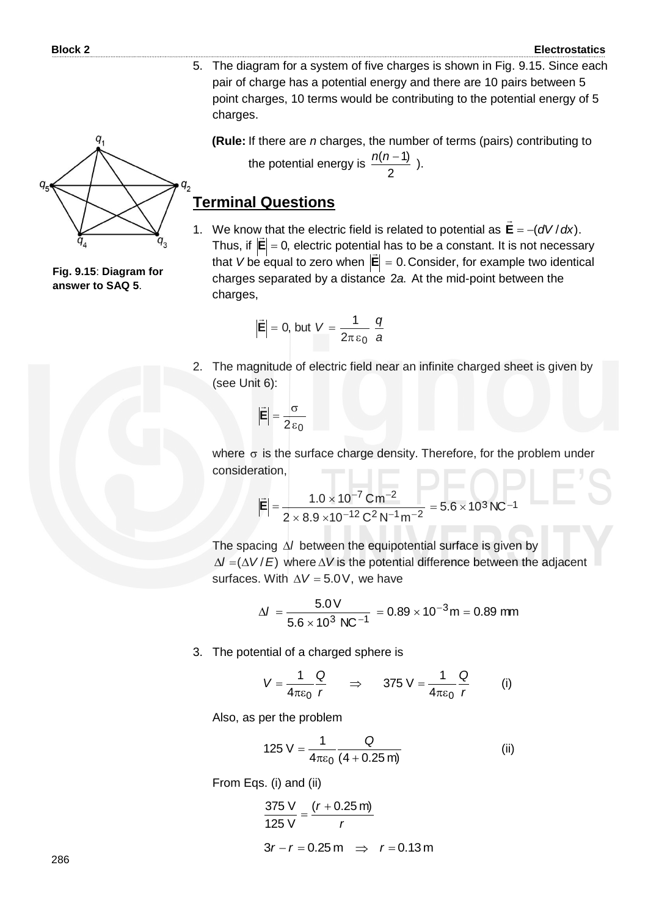5. The diagram for a system of five charges is shown in Fig. 9.15. Since each pair of charge has a potential energy and there are 10 pairs between 5 point charges, 10 terms would be contributing to the potential energy of 5 charges.

**(Rule:** If there are *n* charges, the number of terms (pairs) contributing to the potential energy is 2  $\frac{n(n-1)}{2}$ ).

### **Terminal Questions**

1. We know that the electric field is related to potential as  $\mathbf{E} = -\left(\frac{dV}{dx}\right)$ .  $\overline{\phantom{a}}$ Thus, if  $|\mathsf{E}|$  = 0, electric potential has to be a constant. It is not necessary  $\frac{1}{x}$ that V be equal to zero when  $|\mathbf{E}| = 0$ . Consider, for example two identical charges separated by a distance 2a. At the mid-point between the charges,

$$
\left|\vec{E}\right|=0, \text{ but } V=\frac{1}{2\pi\epsilon_0}\frac{q}{a}
$$

2. The magnitude of electric field near an infinite charged sheet is given by (see Unit 6):

$$
\left|\vec{E}\right| = \frac{\sigma}{2\epsilon_0}
$$

where  $\sigma$  is the surface charge density. Therefore, for the problem under consideration,

$$
\left|\vec{E}\right| = \frac{1.0 \times 10^{-7} \text{ C} \text{m}^{-2}}{2 \times 8.9 \times 10^{-12} \text{ C}^2 \text{N}^{-1} \text{m}^{-2}} = 5.6 \times 10^3 \text{N} \text{C}^{-1}
$$

The spacing  $\Delta l$  between the equipotential surface is given by  $\Delta l = (\Delta V / E)$  where  $\Delta V$  is the potential difference between the adjacent surfaces. With  $\Delta V = 5.0 V$ , we have

$$
\Delta l = \frac{5.0 \text{ V}}{5.6 \times 10^3 \text{ N C}^{-1}} = 0.89 \times 10^{-3} \text{ m} = 0.89 \text{ mm}
$$

3. The potential of a charged sphere is

$$
V = \frac{1}{4\pi\epsilon_0} \frac{Q}{r} \qquad \Rightarrow \qquad 375 \text{ V} = \frac{1}{4\pi\epsilon_0} \frac{Q}{r} \qquad \text{(i)}
$$

Also, as per the problem

$$
125 \text{ V} = \frac{1}{4\pi\epsilon_0} \frac{\text{Q}}{(4+0.25 \text{ m})}
$$
 (ii)

From Eqs. (i) and (ii)

$$
\frac{375 \text{ V}}{125 \text{ V}} = \frac{(r + 0.25 \text{ m})}{r}
$$
  
3r - r = 0.25 m  $\implies$  r = 0.13 m

$$
q_s \nightharpoonup q_s
$$

**Fig. 9.15**: **Diagram for answer to SAQ 5**.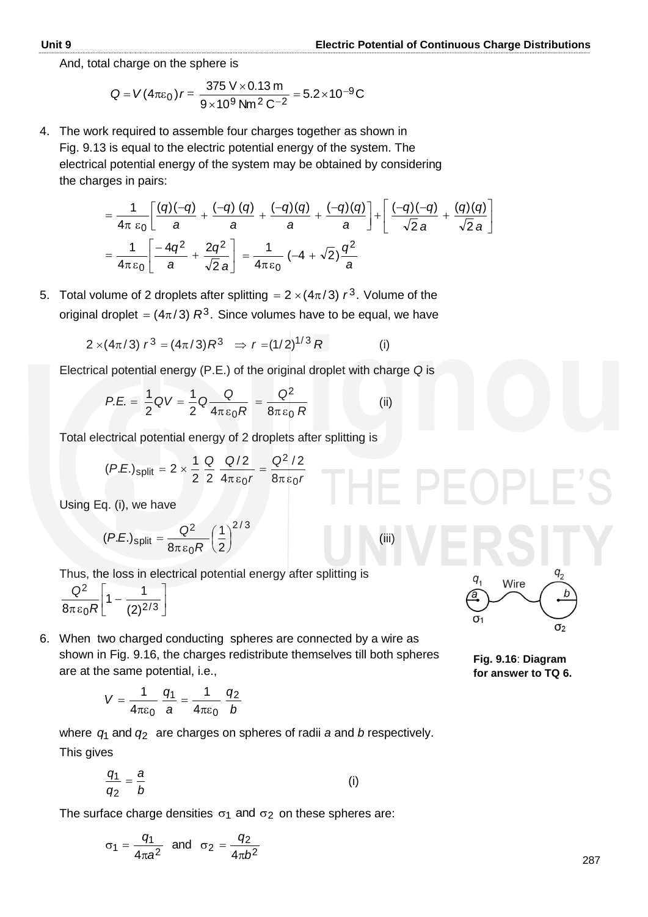And, total charge on the sphere is

$$
Q = V(4\pi\varepsilon_0) r = \frac{375 \text{ V} \times 0.13 \text{ m}}{9 \times 10^9 \text{ Nm}^2 \text{ C}^{-2}} = 5.2 \times 10^{-9} \text{ C}
$$

4. The work required to assemble four charges together as shown in Fig. 9.13 is equal to the electric potential energy of the system. The electrical potential energy of the system may be obtained by considering the charges in pairs:

$$
= \frac{1}{4\pi \epsilon_0} \left[ \frac{(q)(-q)}{a} + \frac{(-q)(q)}{a} + \frac{(-q)(q)}{a} + \frac{(-q)(q)}{a} \right] + \left[ \frac{(-q)(-q)}{\sqrt{2}a} + \frac{(q)(q)}{\sqrt{2}a} \right]
$$

$$
= \frac{1}{4\pi \epsilon_0} \left[ \frac{-4q^2}{a} + \frac{2q^2}{\sqrt{2}a} \right] = \frac{1}{4\pi \epsilon_0} \left( -4 + \sqrt{2} \right) \frac{q^2}{a}
$$

5. Total volume of 2 droplets after splitting  $= 2 \times (4\pi/3) r^3$ . Volume of the original droplet  $=(4\pi/3)\;R^3.$  Since volumes have to be equal, we have

$$
2 \times (4\pi/3) r^3 = (4\pi/3) R^3 \Rightarrow r = (1/2)^{1/3} R \tag{i}
$$

Electrical potential energy (P.E.) of the original droplet with charge *Q* is

$$
P.E. = \frac{1}{2} \mathsf{Q} V = \frac{1}{2} \mathsf{Q} \frac{\mathsf{Q}}{4\pi\epsilon_0 R} = \frac{\mathsf{Q}^2}{8\pi\epsilon_0 R} \tag{ii}
$$

Total electrical potential energy of 2 droplets after splitting is

$$
(P.E.)_{split} = 2 \times \frac{1}{2} \frac{Q}{2} \frac{Q/2}{4\pi \epsilon_0 r} = \frac{Q^2/2}{8\pi \epsilon_0 r}
$$

Using Eq. (i), we have

$$
(P.E.)split = \frac{Q^2}{8\pi \varepsilon_0 R} \left(\frac{1}{2}\right)^{2/3}
$$
 (iii)

Thus, the loss in electrical potential energy after splitting is

$$
\left.\frac{\mathsf{Q}^2}{8\pi\,\varepsilon_0 R}\right[1-\frac{1}{(2)^{2/3}}\right]
$$

6. When two charged conducting spheres are connected by a wire as shown in Fig. 9.16, the charges redistribute themselves till both spheres are at the same potential, i.e.,

$$
V = \frac{1}{4\pi\varepsilon_0} \frac{q_1}{a} = \frac{1}{4\pi\varepsilon_0} \frac{q_2}{b}
$$

where  $q_1$  and  $q_2$  are charges on spheres of radii *a* and *b* respectively. This gives

$$
\frac{q_1}{q_2} = \frac{a}{b} \tag{i}
$$

The surface charge densities  $\sigma_1$  and  $\sigma_2$  on these spheres are:

$$
\sigma_1 = \frac{q_1}{4\pi a^2} \quad \text{and} \quad \sigma_2 = \frac{q_2}{4\pi b^2}
$$



**Fig. 9.16**: **Diagram for answer to TQ 6.**